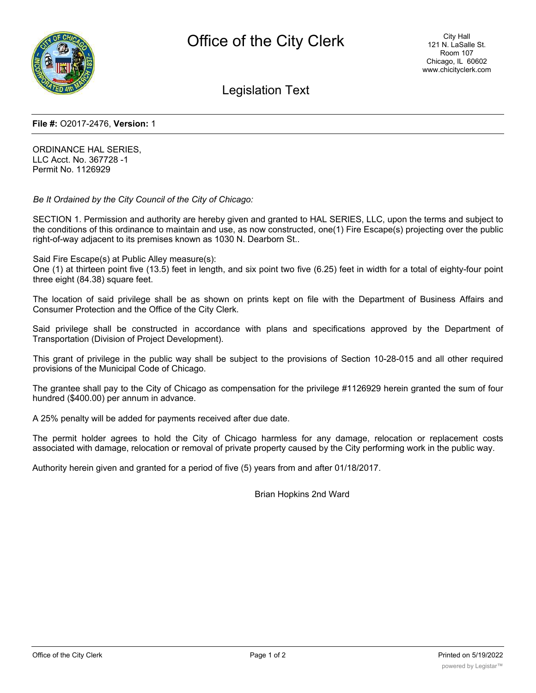

Legislation Text

#### **File #:** O2017-2476, **Version:** 1

ORDINANCE HAL SERIES, LLC Acct. No. 367728 -1 Permit No. 1126929

*Be It Ordained by the City Council of the City of Chicago:*

SECTION 1. Permission and authority are hereby given and granted to HAL SERIES, LLC, upon the terms and subject to the conditions of this ordinance to maintain and use, as now constructed, one(1) Fire Escape(s) projecting over the public right-of-way adjacent to its premises known as 1030 N. Dearborn St..

Said Fire Escape(s) at Public Alley measure(s):

One (1) at thirteen point five (13.5) feet in length, and six point two five (6.25) feet in width for a total of eighty-four point three eight (84.38) square feet.

The location of said privilege shall be as shown on prints kept on file with the Department of Business Affairs and Consumer Protection and the Office of the City Clerk.

Said privilege shall be constructed in accordance with plans and specifications approved by the Department of Transportation (Division of Project Development).

This grant of privilege in the public way shall be subject to the provisions of Section 10-28-015 and all other required provisions of the Municipal Code of Chicago.

The grantee shall pay to the City of Chicago as compensation for the privilege #1126929 herein granted the sum of four hundred (\$400.00) per annum in advance.

A 25% penalty will be added for payments received after due date.

The permit holder agrees to hold the City of Chicago harmless for any damage, relocation or replacement costs associated with damage, relocation or removal of private property caused by the City performing work in the public way.

Authority herein given and granted for a period of five (5) years from and after 01/18/2017.

Brian Hopkins 2nd Ward